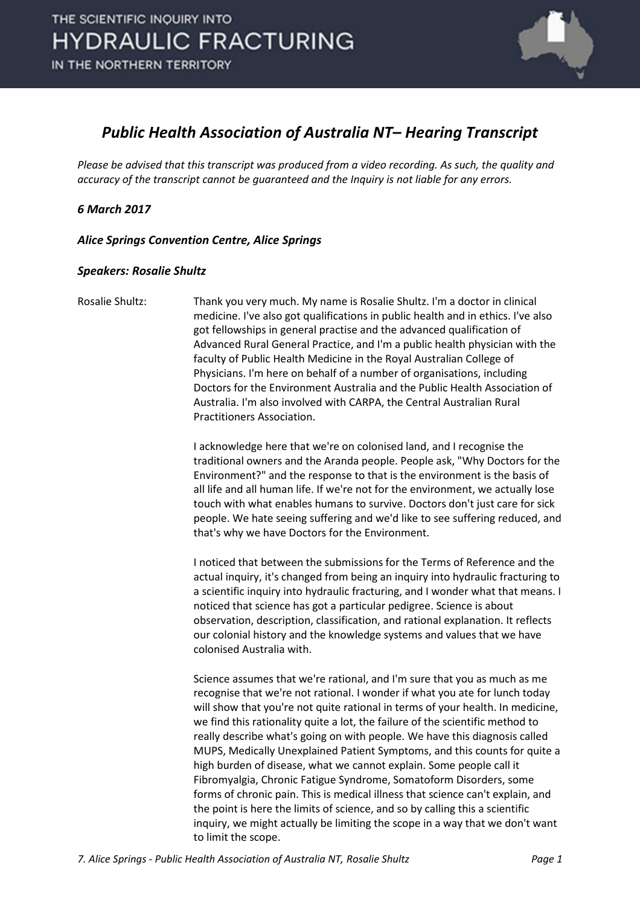

### *Public Health Association of Australia NT– Hearing Transcript*

*Please be advised that this transcript was produced from a video recording. As such, the quality and accuracy of the transcript cannot be guaranteed and the Inquiry is not liable for any errors.*

### *6 March 2017*

*Alice Springs Convention Centre, Alice Springs* 

### *Speakers: Rosalie Shultz*

Rosalie Shultz: Thank you very much. My name is Rosalie Shultz. I'm a doctor in clinical medicine. I've also got qualifications in public health and in ethics. I've also got fellowships in general practise and the advanced qualification of Advanced Rural General Practice, and I'm a public health physician with the faculty of Public Health Medicine in the Royal Australian College of Physicians. I'm here on behalf of a number of organisations, including Doctors for the Environment Australia and the Public Health Association of Australia. I'm also involved with CARPA, the Central Australian Rural Practitioners Association.

> I acknowledge here that we're on colonised land, and I recognise the traditional owners and the Aranda people. People ask, "Why Doctors for the Environment?" and the response to that is the environment is the basis of all life and all human life. If we're not for the environment, we actually lose touch with what enables humans to survive. Doctors don't just care for sick people. We hate seeing suffering and we'd like to see suffering reduced, and that's why we have Doctors for the Environment.

> I noticed that between the submissions for the Terms of Reference and the actual inquiry, it's changed from being an inquiry into hydraulic fracturing to a scientific inquiry into hydraulic fracturing, and I wonder what that means. I noticed that science has got a particular pedigree. Science is about observation, description, classification, and rational explanation. It reflects our colonial history and the knowledge systems and values that we have colonised Australia with.

> Science assumes that we're rational, and I'm sure that you as much as me recognise that we're not rational. I wonder if what you ate for lunch today will show that you're not quite rational in terms of your health. In medicine, we find this rationality quite a lot, the failure of the scientific method to really describe what's going on with people. We have this diagnosis called MUPS, Medically Unexplained Patient Symptoms, and this counts for quite a high burden of disease, what we cannot explain. Some people call it Fibromyalgia, Chronic Fatigue Syndrome, Somatoform Disorders, some forms of chronic pain. This is medical illness that science can't explain, and the point is here the limits of science, and so by calling this a scientific inquiry, we might actually be limiting the scope in a way that we don't want to limit the scope.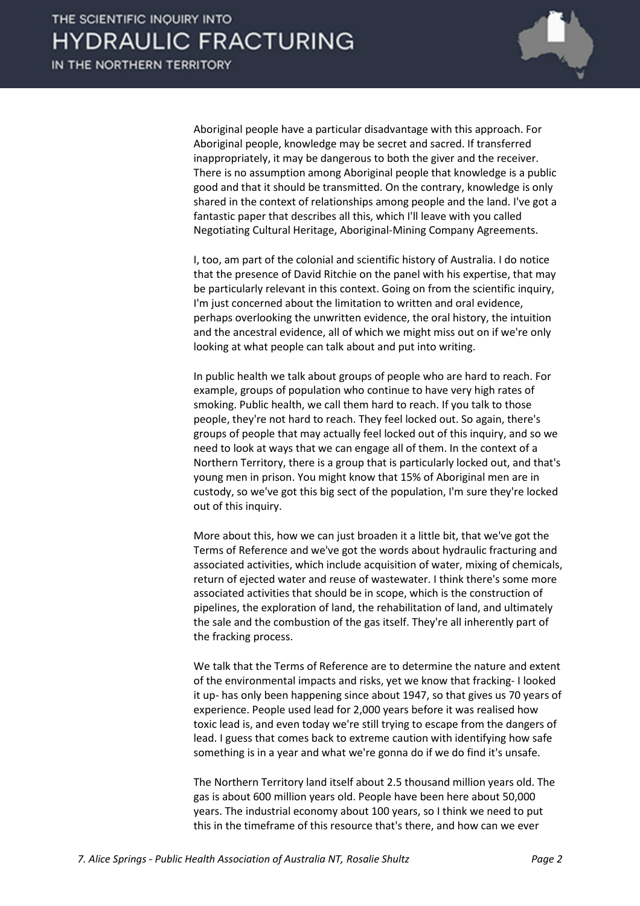

Aboriginal people have a particular disadvantage with this approach. For Aboriginal people, knowledge may be secret and sacred. If transferred inappropriately, it may be dangerous to both the giver and the receiver. There is no assumption among Aboriginal people that knowledge is a public good and that it should be transmitted. On the contrary, knowledge is only shared in the context of relationships among people and the land. I've got a fantastic paper that describes all this, which I'll leave with you called Negotiating Cultural Heritage, Aboriginal-Mining Company Agreements.

I, too, am part of the colonial and scientific history of Australia. I do notice that the presence of David Ritchie on the panel with his expertise, that may be particularly relevant in this context. Going on from the scientific inquiry, I'm just concerned about the limitation to written and oral evidence, perhaps overlooking the unwritten evidence, the oral history, the intuition and the ancestral evidence, all of which we might miss out on if we're only looking at what people can talk about and put into writing.

In public health we talk about groups of people who are hard to reach. For example, groups of population who continue to have very high rates of smoking. Public health, we call them hard to reach. If you talk to those people, they're not hard to reach. They feel locked out. So again, there's groups of people that may actually feel locked out of this inquiry, and so we need to look at ways that we can engage all of them. In the context of a Northern Territory, there is a group that is particularly locked out, and that's young men in prison. You might know that 15% of Aboriginal men are in custody, so we've got this big sect of the population, I'm sure they're locked out of this inquiry.

More about this, how we can just broaden it a little bit, that we've got the Terms of Reference and we've got the words about hydraulic fracturing and associated activities, which include acquisition of water, mixing of chemicals, return of ejected water and reuse of wastewater. I think there's some more associated activities that should be in scope, which is the construction of pipelines, the exploration of land, the rehabilitation of land, and ultimately the sale and the combustion of the gas itself. They're all inherently part of the fracking process.

We talk that the Terms of Reference are to determine the nature and extent of the environmental impacts and risks, yet we know that fracking- I looked it up- has only been happening since about 1947, so that gives us 70 years of experience. People used lead for 2,000 years before it was realised how toxic lead is, and even today we're still trying to escape from the dangers of lead. I guess that comes back to extreme caution with identifying how safe something is in a year and what we're gonna do if we do find it's unsafe.

The Northern Territory land itself about 2.5 thousand million years old. The gas is about 600 million years old. People have been here about 50,000 years. The industrial economy about 100 years, so I think we need to put this in the timeframe of this resource that's there, and how can we ever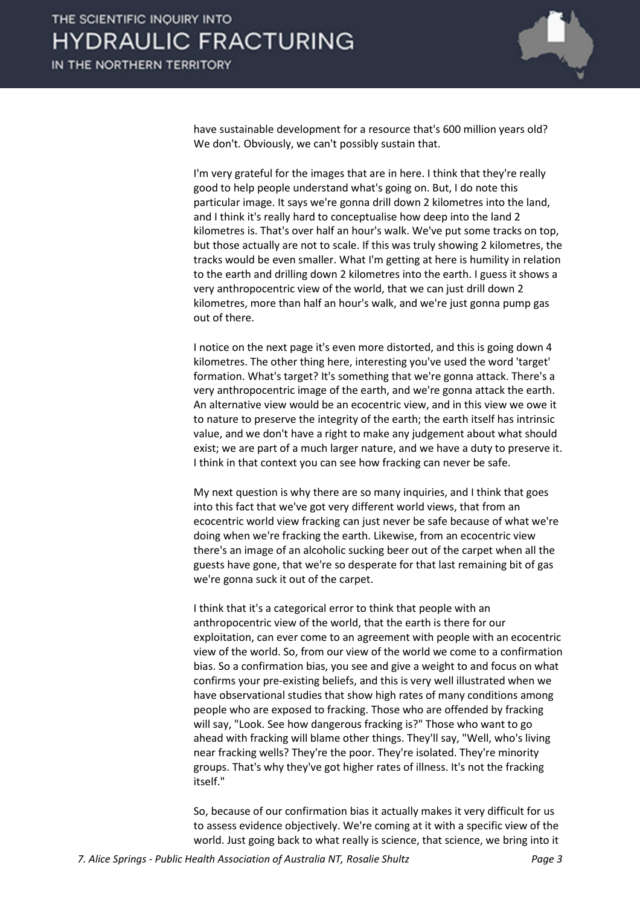

have sustainable development for a resource that's 600 million years old? We don't. Obviously, we can't possibly sustain that.

I'm very grateful for the images that are in here. I think that they're really good to help people understand what's going on. But, I do note this particular image. It says we're gonna drill down 2 kilometres into the land, and I think it's really hard to conceptualise how deep into the land 2 kilometres is. That's over half an hour's walk. We've put some tracks on top, but those actually are not to scale. If this was truly showing 2 kilometres, the tracks would be even smaller. What I'm getting at here is humility in relation to the earth and drilling down 2 kilometres into the earth. I guess it shows a very anthropocentric view of the world, that we can just drill down 2 kilometres, more than half an hour's walk, and we're just gonna pump gas out of there.

I notice on the next page it's even more distorted, and this is going down 4 kilometres. The other thing here, interesting you've used the word 'target' formation. What's target? It's something that we're gonna attack. There's a very anthropocentric image of the earth, and we're gonna attack the earth. An alternative view would be an ecocentric view, and in this view we owe it to nature to preserve the integrity of the earth; the earth itself has intrinsic value, and we don't have a right to make any judgement about what should exist; we are part of a much larger nature, and we have a duty to preserve it. I think in that context you can see how fracking can never be safe.

My next question is why there are so many inquiries, and I think that goes into this fact that we've got very different world views, that from an ecocentric world view fracking can just never be safe because of what we're doing when we're fracking the earth. Likewise, from an ecocentric view there's an image of an alcoholic sucking beer out of the carpet when all the guests have gone, that we're so desperate for that last remaining bit of gas we're gonna suck it out of the carpet.

I think that it's a categorical error to think that people with an anthropocentric view of the world, that the earth is there for our exploitation, can ever come to an agreement with people with an ecocentric view of the world. So, from our view of the world we come to a confirmation bias. So a confirmation bias, you see and give a weight to and focus on what confirms your pre-existing beliefs, and this is very well illustrated when we have observational studies that show high rates of many conditions among people who are exposed to fracking. Those who are offended by fracking will say, "Look. See how dangerous fracking is?" Those who want to go ahead with fracking will blame other things. They'll say, "Well, who's living near fracking wells? They're the poor. They're isolated. They're minority groups. That's why they've got higher rates of illness. It's not the fracking itself."

So, because of our confirmation bias it actually makes it very difficult for us to assess evidence objectively. We're coming at it with a specific view of the world. Just going back to what really is science, that science, we bring into it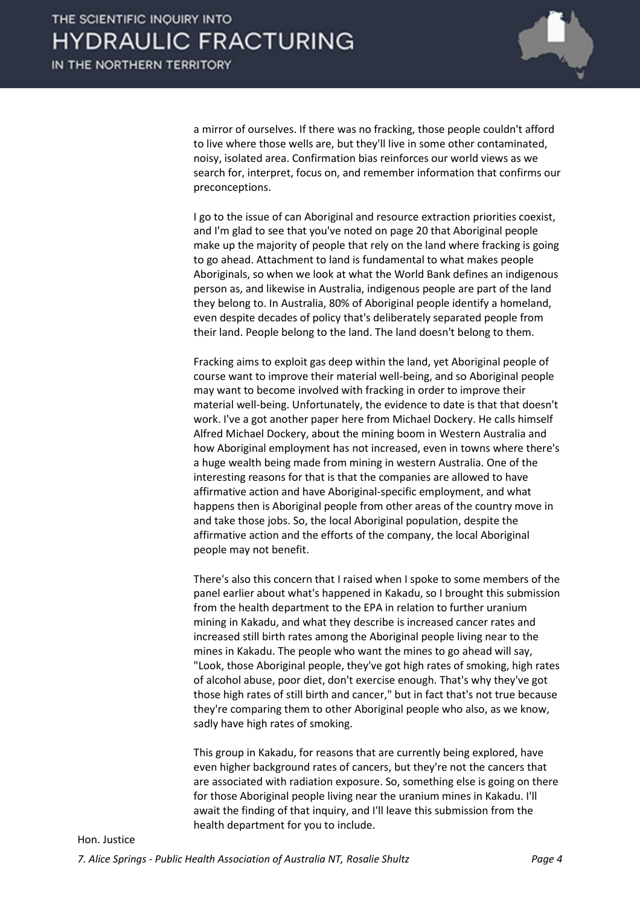

a mirror of ourselves. If there was no fracking, those people couldn't afford to live where those wells are, but they'll live in some other contaminated, noisy, isolated area. Confirmation bias reinforces our world views as we search for, interpret, focus on, and remember information that confirms our preconceptions.

I go to the issue of can Aboriginal and resource extraction priorities coexist, and I'm glad to see that you've noted on page 20 that Aboriginal people make up the majority of people that rely on the land where fracking is going to go ahead. Attachment to land is fundamental to what makes people Aboriginals, so when we look at what the World Bank defines an indigenous person as, and likewise in Australia, indigenous people are part of the land they belong to. In Australia, 80% of Aboriginal people identify a homeland, even despite decades of policy that's deliberately separated people from their land. People belong to the land. The land doesn't belong to them.

Fracking aims to exploit gas deep within the land, yet Aboriginal people of course want to improve their material well-being, and so Aboriginal people may want to become involved with fracking in order to improve their material well-being. Unfortunately, the evidence to date is that that doesn't work. I've a got another paper here from Michael Dockery. He calls himself Alfred Michael Dockery, about the mining boom in Western Australia and how Aboriginal employment has not increased, even in towns where there's a huge wealth being made from mining in western Australia. One of the interesting reasons for that is that the companies are allowed to have affirmative action and have Aboriginal-specific employment, and what happens then is Aboriginal people from other areas of the country move in and take those jobs. So, the local Aboriginal population, despite the affirmative action and the efforts of the company, the local Aboriginal people may not benefit.

There's also this concern that I raised when I spoke to some members of the panel earlier about what's happened in Kakadu, so I brought this submission from the health department to the EPA in relation to further uranium mining in Kakadu, and what they describe is increased cancer rates and increased still birth rates among the Aboriginal people living near to the mines in Kakadu. The people who want the mines to go ahead will say, "Look, those Aboriginal people, they've got high rates of smoking, high rates of alcohol abuse, poor diet, don't exercise enough. That's why they've got those high rates of still birth and cancer," but in fact that's not true because they're comparing them to other Aboriginal people who also, as we know, sadly have high rates of smoking.

This group in Kakadu, for reasons that are currently being explored, have even higher background rates of cancers, but they're not the cancers that are associated with radiation exposure. So, something else is going on there for those Aboriginal people living near the uranium mines in Kakadu. I'll await the finding of that inquiry, and I'll leave this submission from the health department for you to include.

#### Hon. Justice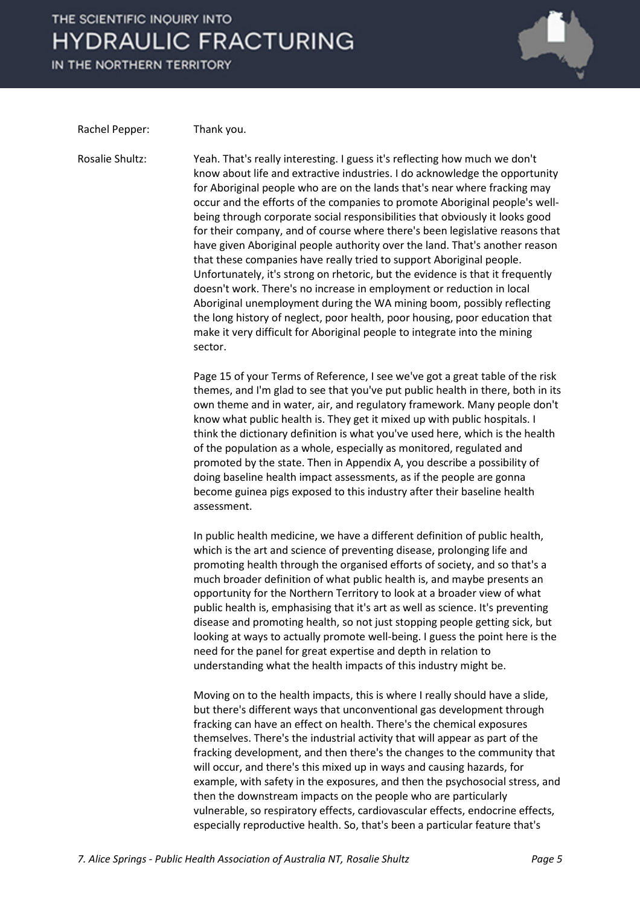IN THE NORTHERN TERRITORY



Rachel Pepper: Thank you.

Rosalie Shultz: Yeah. That's really interesting. I guess it's reflecting how much we don't know about life and extractive industries. I do acknowledge the opportunity for Aboriginal people who are on the lands that's near where fracking may occur and the efforts of the companies to promote Aboriginal people's wellbeing through corporate social responsibilities that obviously it looks good for their company, and of course where there's been legislative reasons that have given Aboriginal people authority over the land. That's another reason that these companies have really tried to support Aboriginal people. Unfortunately, it's strong on rhetoric, but the evidence is that it frequently doesn't work. There's no increase in employment or reduction in local Aboriginal unemployment during the WA mining boom, possibly reflecting the long history of neglect, poor health, poor housing, poor education that make it very difficult for Aboriginal people to integrate into the mining sector.

> Page 15 of your Terms of Reference, I see we've got a great table of the risk themes, and I'm glad to see that you've put public health in there, both in its own theme and in water, air, and regulatory framework. Many people don't know what public health is. They get it mixed up with public hospitals. I think the dictionary definition is what you've used here, which is the health of the population as a whole, especially as monitored, regulated and promoted by the state. Then in Appendix A, you describe a possibility of doing baseline health impact assessments, as if the people are gonna become guinea pigs exposed to this industry after their baseline health assessment.

In public health medicine, we have a different definition of public health, which is the art and science of preventing disease, prolonging life and promoting health through the organised efforts of society, and so that's a much broader definition of what public health is, and maybe presents an opportunity for the Northern Territory to look at a broader view of what public health is, emphasising that it's art as well as science. It's preventing disease and promoting health, so not just stopping people getting sick, but looking at ways to actually promote well-being. I guess the point here is the need for the panel for great expertise and depth in relation to understanding what the health impacts of this industry might be.

Moving on to the health impacts, this is where I really should have a slide, but there's different ways that unconventional gas development through fracking can have an effect on health. There's the chemical exposures themselves. There's the industrial activity that will appear as part of the fracking development, and then there's the changes to the community that will occur, and there's this mixed up in ways and causing hazards, for example, with safety in the exposures, and then the psychosocial stress, and then the downstream impacts on the people who are particularly vulnerable, so respiratory effects, cardiovascular effects, endocrine effects, especially reproductive health. So, that's been a particular feature that's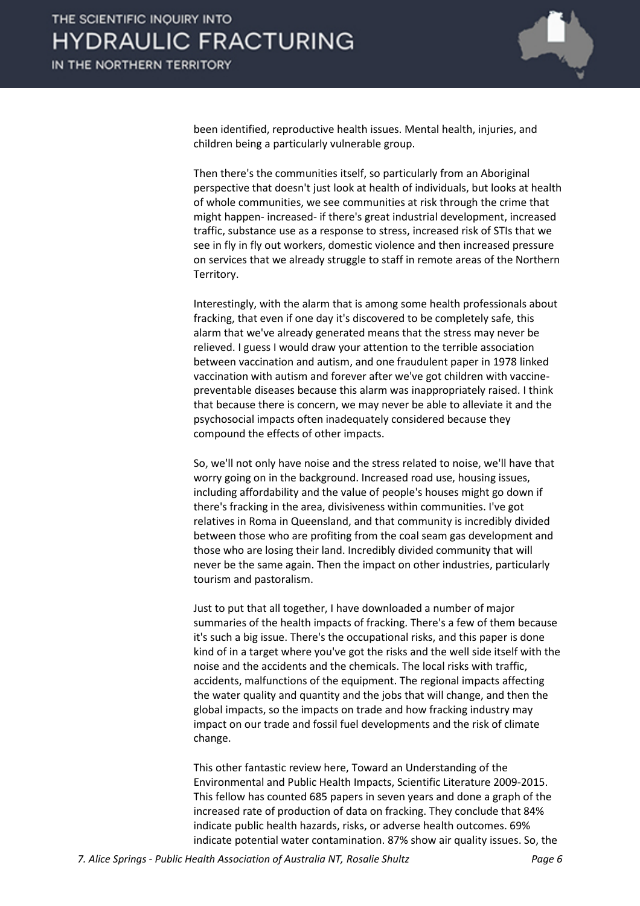

been identified, reproductive health issues. Mental health, injuries, and children being a particularly vulnerable group.

Then there's the communities itself, so particularly from an Aboriginal perspective that doesn't just look at health of individuals, but looks at health of whole communities, we see communities at risk through the crime that might happen- increased- if there's great industrial development, increased traffic, substance use as a response to stress, increased risk of STIs that we see in fly in fly out workers, domestic violence and then increased pressure on services that we already struggle to staff in remote areas of the Northern Territory.

Interestingly, with the alarm that is among some health professionals about fracking, that even if one day it's discovered to be completely safe, this alarm that we've already generated means that the stress may never be relieved. I guess I would draw your attention to the terrible association between vaccination and autism, and one fraudulent paper in 1978 linked vaccination with autism and forever after we've got children with vaccinepreventable diseases because this alarm was inappropriately raised. I think that because there is concern, we may never be able to alleviate it and the psychosocial impacts often inadequately considered because they compound the effects of other impacts.

So, we'll not only have noise and the stress related to noise, we'll have that worry going on in the background. Increased road use, housing issues, including affordability and the value of people's houses might go down if there's fracking in the area, divisiveness within communities. I've got relatives in Roma in Queensland, and that community is incredibly divided between those who are profiting from the coal seam gas development and those who are losing their land. Incredibly divided community that will never be the same again. Then the impact on other industries, particularly tourism and pastoralism.

Just to put that all together, I have downloaded a number of major summaries of the health impacts of fracking. There's a few of them because it's such a big issue. There's the occupational risks, and this paper is done kind of in a target where you've got the risks and the well side itself with the noise and the accidents and the chemicals. The local risks with traffic, accidents, malfunctions of the equipment. The regional impacts affecting the water quality and quantity and the jobs that will change, and then the global impacts, so the impacts on trade and how fracking industry may impact on our trade and fossil fuel developments and the risk of climate change.

This other fantastic review here, Toward an Understanding of the Environmental and Public Health Impacts, Scientific Literature 2009-2015. This fellow has counted 685 papers in seven years and done a graph of the increased rate of production of data on fracking. They conclude that 84% indicate public health hazards, risks, or adverse health outcomes. 69% indicate potential water contamination. 87% show air quality issues. So, the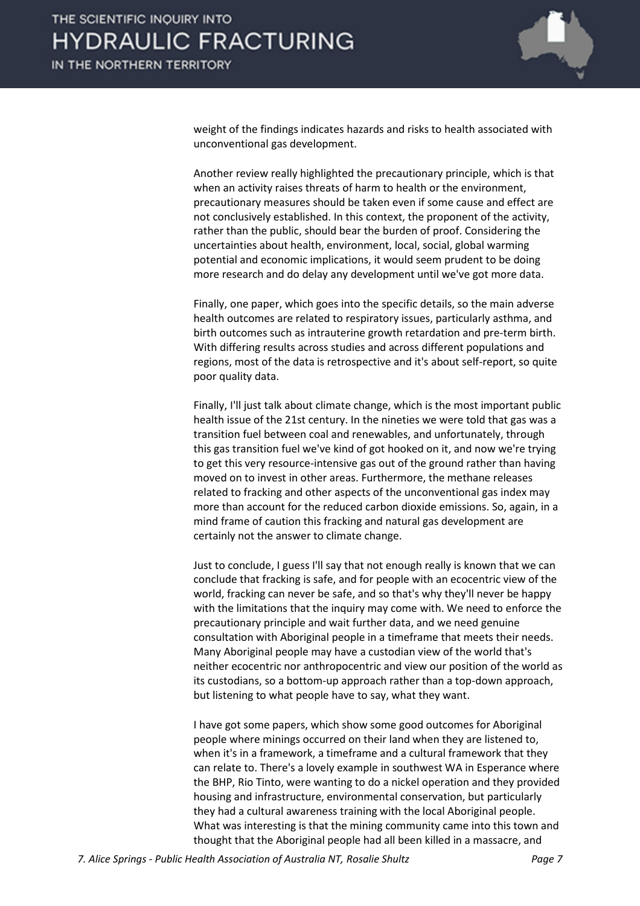

weight of the findings indicates hazards and risks to health associated with unconventional gas development.

Another review really highlighted the precautionary principle, which is that when an activity raises threats of harm to health or the environment, precautionary measures should be taken even if some cause and effect are not conclusively established. In this context, the proponent of the activity, rather than the public, should bear the burden of proof. Considering the uncertainties about health, environment, local, social, global warming potential and economic implications, it would seem prudent to be doing more research and do delay any development until we've got more data.

Finally, one paper, which goes into the specific details, so the main adverse health outcomes are related to respiratory issues, particularly asthma, and birth outcomes such as intrauterine growth retardation and pre-term birth. With differing results across studies and across different populations and regions, most of the data is retrospective and it's about self-report, so quite poor quality data.

Finally, I'll just talk about climate change, which is the most important public health issue of the 21st century. In the nineties we were told that gas was a transition fuel between coal and renewables, and unfortunately, through this gas transition fuel we've kind of got hooked on it, and now we're trying to get this very resource-intensive gas out of the ground rather than having moved on to invest in other areas. Furthermore, the methane releases related to fracking and other aspects of the unconventional gas index may more than account for the reduced carbon dioxide emissions. So, again, in a mind frame of caution this fracking and natural gas development are certainly not the answer to climate change.

Just to conclude, I guess I'll say that not enough really is known that we can conclude that fracking is safe, and for people with an ecocentric view of the world, fracking can never be safe, and so that's why they'll never be happy with the limitations that the inquiry may come with. We need to enforce the precautionary principle and wait further data, and we need genuine consultation with Aboriginal people in a timeframe that meets their needs. Many Aboriginal people may have a custodian view of the world that's neither ecocentric nor anthropocentric and view our position of the world as its custodians, so a bottom-up approach rather than a top-down approach, but listening to what people have to say, what they want.

I have got some papers, which show some good outcomes for Aboriginal people where minings occurred on their land when they are listened to, when it's in a framework, a timeframe and a cultural framework that they can relate to. There's a lovely example in southwest WA in Esperance where the BHP, Rio Tinto, were wanting to do a nickel operation and they provided housing and infrastructure, environmental conservation, but particularly they had a cultural awareness training with the local Aboriginal people. What was interesting is that the mining community came into this town and thought that the Aboriginal people had all been killed in a massacre, and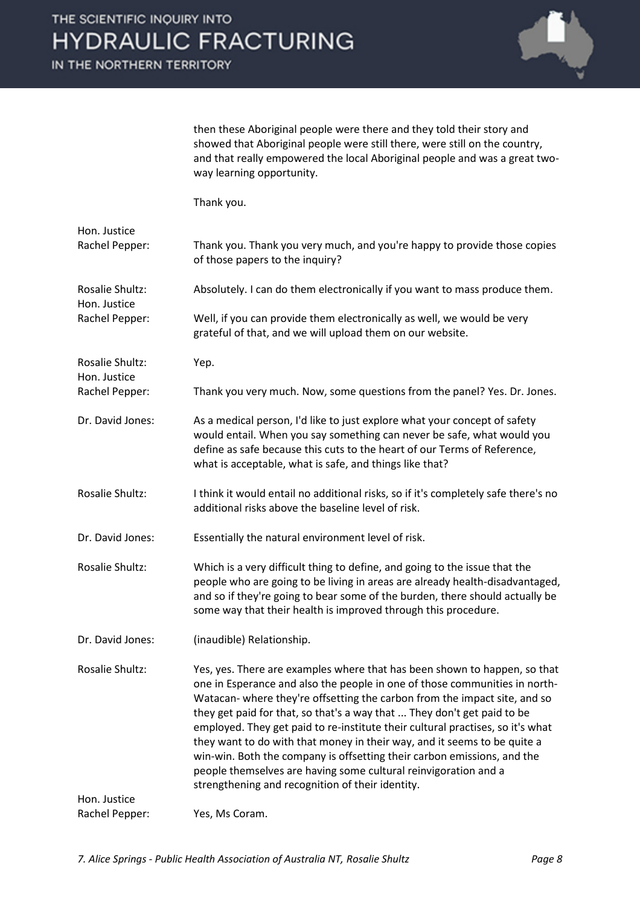IN THE NORTHERN TERRITORY



then these Aboriginal people were there and they told their story and showed that Aboriginal people were still there, were still on the country, and that really empowered the local Aboriginal people and was a great twoway learning opportunity.

Thank you.

| Hon. Justice<br>Rachel Pepper:                    | Thank you. Thank you very much, and you're happy to provide those copies<br>of those papers to the inquiry?                                                                                                                                                                                                                                                                                                                                                                                                                                                                                                                                                                     |
|---------------------------------------------------|---------------------------------------------------------------------------------------------------------------------------------------------------------------------------------------------------------------------------------------------------------------------------------------------------------------------------------------------------------------------------------------------------------------------------------------------------------------------------------------------------------------------------------------------------------------------------------------------------------------------------------------------------------------------------------|
| Rosalie Shultz:<br>Hon. Justice<br>Rachel Pepper: | Absolutely. I can do them electronically if you want to mass produce them.                                                                                                                                                                                                                                                                                                                                                                                                                                                                                                                                                                                                      |
|                                                   | Well, if you can provide them electronically as well, we would be very<br>grateful of that, and we will upload them on our website.                                                                                                                                                                                                                                                                                                                                                                                                                                                                                                                                             |
| Rosalie Shultz:<br>Hon. Justice                   | Yep.                                                                                                                                                                                                                                                                                                                                                                                                                                                                                                                                                                                                                                                                            |
| Rachel Pepper:                                    | Thank you very much. Now, some questions from the panel? Yes. Dr. Jones.                                                                                                                                                                                                                                                                                                                                                                                                                                                                                                                                                                                                        |
| Dr. David Jones:                                  | As a medical person, I'd like to just explore what your concept of safety<br>would entail. When you say something can never be safe, what would you<br>define as safe because this cuts to the heart of our Terms of Reference,<br>what is acceptable, what is safe, and things like that?                                                                                                                                                                                                                                                                                                                                                                                      |
| Rosalie Shultz:                                   | I think it would entail no additional risks, so if it's completely safe there's no<br>additional risks above the baseline level of risk.                                                                                                                                                                                                                                                                                                                                                                                                                                                                                                                                        |
| Dr. David Jones:                                  | Essentially the natural environment level of risk.                                                                                                                                                                                                                                                                                                                                                                                                                                                                                                                                                                                                                              |
| Rosalie Shultz:                                   | Which is a very difficult thing to define, and going to the issue that the<br>people who are going to be living in areas are already health-disadvantaged,<br>and so if they're going to bear some of the burden, there should actually be<br>some way that their health is improved through this procedure.                                                                                                                                                                                                                                                                                                                                                                    |
| Dr. David Jones:                                  | (inaudible) Relationship.                                                                                                                                                                                                                                                                                                                                                                                                                                                                                                                                                                                                                                                       |
| Rosalie Shultz:                                   | Yes, yes. There are examples where that has been shown to happen, so that<br>one in Esperance and also the people in one of those communities in north-<br>Watacan- where they're offsetting the carbon from the impact site, and so<br>they get paid for that, so that's a way that  They don't get paid to be<br>employed. They get paid to re-institute their cultural practises, so it's what<br>they want to do with that money in their way, and it seems to be quite a<br>win-win. Both the company is offsetting their carbon emissions, and the<br>people themselves are having some cultural reinvigoration and a<br>strengthening and recognition of their identity. |
| Hon. Justice                                      |                                                                                                                                                                                                                                                                                                                                                                                                                                                                                                                                                                                                                                                                                 |
| Rachel Pepper:                                    | Yes, Ms Coram.                                                                                                                                                                                                                                                                                                                                                                                                                                                                                                                                                                                                                                                                  |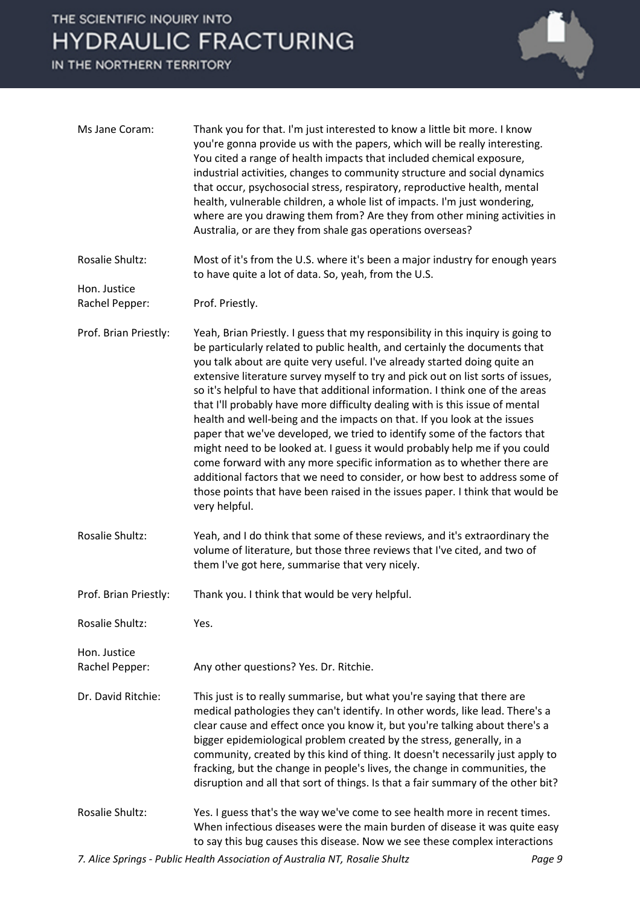IN THE NORTHERN TERRITORY



| Ms Jane Coram:                 | Thank you for that. I'm just interested to know a little bit more. I know<br>you're gonna provide us with the papers, which will be really interesting.<br>You cited a range of health impacts that included chemical exposure,<br>industrial activities, changes to community structure and social dynamics<br>that occur, psychosocial stress, respiratory, reproductive health, mental<br>health, vulnerable children, a whole list of impacts. I'm just wondering,<br>where are you drawing them from? Are they from other mining activities in<br>Australia, or are they from shale gas operations overseas?                                                                                                                                                                                                                                                                                                                                                                                  |
|--------------------------------|----------------------------------------------------------------------------------------------------------------------------------------------------------------------------------------------------------------------------------------------------------------------------------------------------------------------------------------------------------------------------------------------------------------------------------------------------------------------------------------------------------------------------------------------------------------------------------------------------------------------------------------------------------------------------------------------------------------------------------------------------------------------------------------------------------------------------------------------------------------------------------------------------------------------------------------------------------------------------------------------------|
| Rosalie Shultz:                | Most of it's from the U.S. where it's been a major industry for enough years<br>to have quite a lot of data. So, yeah, from the U.S.                                                                                                                                                                                                                                                                                                                                                                                                                                                                                                                                                                                                                                                                                                                                                                                                                                                               |
| Hon. Justice<br>Rachel Pepper: | Prof. Priestly.                                                                                                                                                                                                                                                                                                                                                                                                                                                                                                                                                                                                                                                                                                                                                                                                                                                                                                                                                                                    |
| Prof. Brian Priestly:          | Yeah, Brian Priestly. I guess that my responsibility in this inquiry is going to<br>be particularly related to public health, and certainly the documents that<br>you talk about are quite very useful. I've already started doing quite an<br>extensive literature survey myself to try and pick out on list sorts of issues,<br>so it's helpful to have that additional information. I think one of the areas<br>that I'll probably have more difficulty dealing with is this issue of mental<br>health and well-being and the impacts on that. If you look at the issues<br>paper that we've developed, we tried to identify some of the factors that<br>might need to be looked at. I guess it would probably help me if you could<br>come forward with any more specific information as to whether there are<br>additional factors that we need to consider, or how best to address some of<br>those points that have been raised in the issues paper. I think that would be<br>very helpful. |
| Rosalie Shultz:                | Yeah, and I do think that some of these reviews, and it's extraordinary the<br>volume of literature, but those three reviews that I've cited, and two of<br>them I've got here, summarise that very nicely.                                                                                                                                                                                                                                                                                                                                                                                                                                                                                                                                                                                                                                                                                                                                                                                        |
| Prof. Brian Priestly:          | Thank you. I think that would be very helpful.                                                                                                                                                                                                                                                                                                                                                                                                                                                                                                                                                                                                                                                                                                                                                                                                                                                                                                                                                     |
| Rosalie Shultz:                | Yes.                                                                                                                                                                                                                                                                                                                                                                                                                                                                                                                                                                                                                                                                                                                                                                                                                                                                                                                                                                                               |
| Hon. Justice<br>Rachel Pepper: | Any other questions? Yes. Dr. Ritchie.                                                                                                                                                                                                                                                                                                                                                                                                                                                                                                                                                                                                                                                                                                                                                                                                                                                                                                                                                             |
| Dr. David Ritchie:             | This just is to really summarise, but what you're saying that there are<br>medical pathologies they can't identify. In other words, like lead. There's a<br>clear cause and effect once you know it, but you're talking about there's a<br>bigger epidemiological problem created by the stress, generally, in a<br>community, created by this kind of thing. It doesn't necessarily just apply to<br>fracking, but the change in people's lives, the change in communities, the<br>disruption and all that sort of things. Is that a fair summary of the other bit?                                                                                                                                                                                                                                                                                                                                                                                                                               |
| <b>Rosalie Shultz:</b>         | Yes. I guess that's the way we've come to see health more in recent times.<br>When infectious diseases were the main burden of disease it was quite easy<br>to say this bug causes this disease. Now we see these complex interactions                                                                                                                                                                                                                                                                                                                                                                                                                                                                                                                                                                                                                                                                                                                                                             |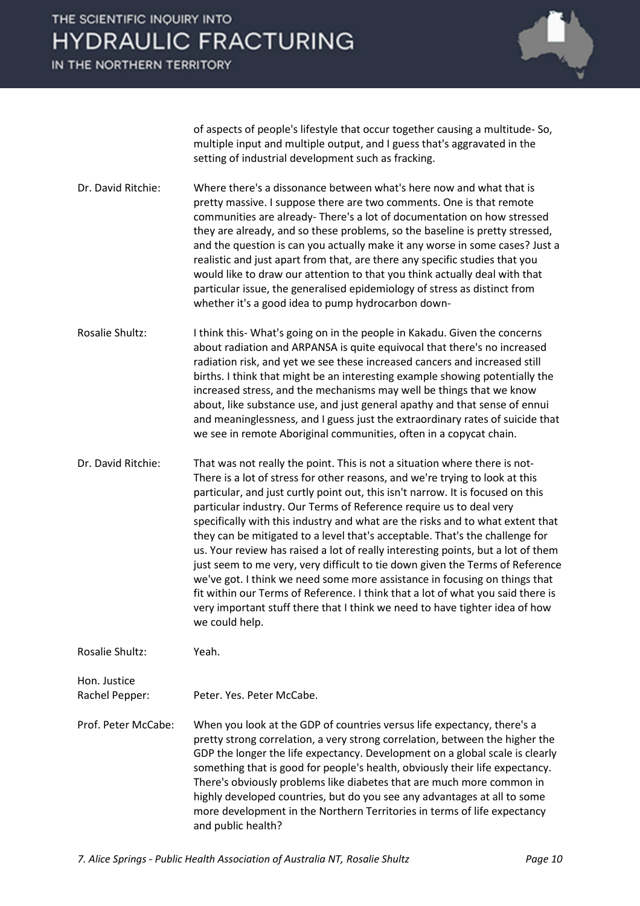IN THE NORTHERN TERRITORY



of aspects of people's lifestyle that occur together causing a multitude- So, multiple input and multiple output, and I guess that's aggravated in the setting of industrial development such as fracking.

- Dr. David Ritchie: Where there's a dissonance between what's here now and what that is pretty massive. I suppose there are two comments. One is that remote communities are already- There's a lot of documentation on how stressed they are already, and so these problems, so the baseline is pretty stressed, and the question is can you actually make it any worse in some cases? Just a realistic and just apart from that, are there any specific studies that you would like to draw our attention to that you think actually deal with that particular issue, the generalised epidemiology of stress as distinct from whether it's a good idea to pump hydrocarbon down-
- Rosalie Shultz: I think this- What's going on in the people in Kakadu. Given the concerns about radiation and ARPANSA is quite equivocal that there's no increased radiation risk, and yet we see these increased cancers and increased still births. I think that might be an interesting example showing potentially the increased stress, and the mechanisms may well be things that we know about, like substance use, and just general apathy and that sense of ennui and meaninglessness, and I guess just the extraordinary rates of suicide that we see in remote Aboriginal communities, often in a copycat chain.
- Dr. David Ritchie: That was not really the point. This is not a situation where there is not-There is a lot of stress for other reasons, and we're trying to look at this particular, and just curtly point out, this isn't narrow. It is focused on this particular industry. Our Terms of Reference require us to deal very specifically with this industry and what are the risks and to what extent that they can be mitigated to a level that's acceptable. That's the challenge for us. Your review has raised a lot of really interesting points, but a lot of them just seem to me very, very difficult to tie down given the Terms of Reference we've got. I think we need some more assistance in focusing on things that fit within our Terms of Reference. I think that a lot of what you said there is very important stuff there that I think we need to have tighter idea of how we could help.

Rosalie Shultz: Yeah.

Hon. Justice

Rachel Pepper: Peter. Yes. Peter McCabe.

Prof. Peter McCabe: When you look at the GDP of countries versus life expectancy, there's a pretty strong correlation, a very strong correlation, between the higher the GDP the longer the life expectancy. Development on a global scale is clearly something that is good for people's health, obviously their life expectancy. There's obviously problems like diabetes that are much more common in highly developed countries, but do you see any advantages at all to some more development in the Northern Territories in terms of life expectancy and public health?